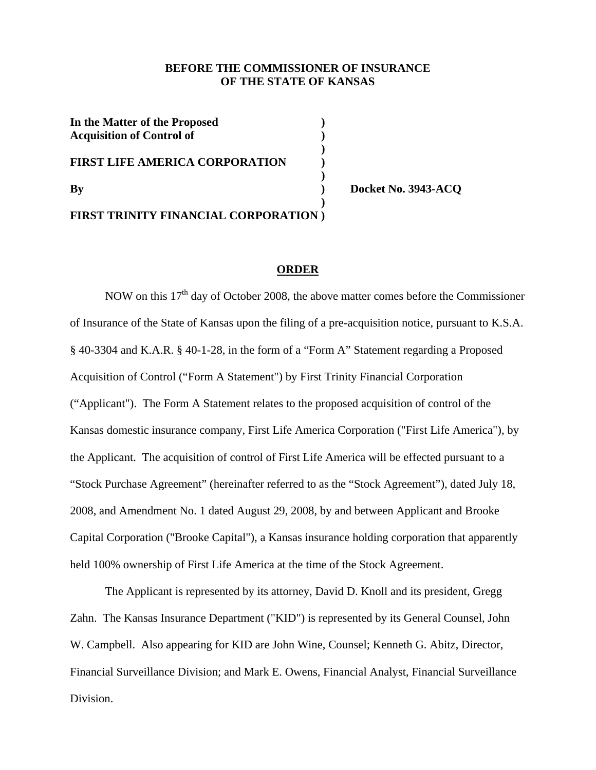# **BEFORE THE COMMISSIONER OF INSURANCE OF THE STATE OF KANSAS**

| In the Matter of the Proposed<br><b>Acquisition of Control of</b> |  |
|-------------------------------------------------------------------|--|
| <b>FIRST LIFE AMERICA CORPORATION</b>                             |  |
| $\mathbf{B}\mathbf{v}$                                            |  |
| FIRST TRINITY FINANCIAL CORPORATION)                              |  |

**By ) Docket No. 3943-ACQ** 

#### **ORDER**

NOW on this  $17<sup>th</sup>$  day of October 2008, the above matter comes before the Commissioner of Insurance of the State of Kansas upon the filing of a pre-acquisition notice, pursuant to K.S.A. § 40-3304 and K.A.R. § 40-1-28, in the form of a "Form A" Statement regarding a Proposed Acquisition of Control ("Form A Statement") by First Trinity Financial Corporation ("Applicant"). The Form A Statement relates to the proposed acquisition of control of the Kansas domestic insurance company, First Life America Corporation ("First Life America"), by the Applicant. The acquisition of control of First Life America will be effected pursuant to a "Stock Purchase Agreement" (hereinafter referred to as the "Stock Agreement"), dated July 18, 2008, and Amendment No. 1 dated August 29, 2008, by and between Applicant and Brooke Capital Corporation ("Brooke Capital"), a Kansas insurance holding corporation that apparently held 100% ownership of First Life America at the time of the Stock Agreement.

 The Applicant is represented by its attorney, David D. Knoll and its president, Gregg Zahn. The Kansas Insurance Department ("KID") is represented by its General Counsel, John W. Campbell. Also appearing for KID are John Wine, Counsel; Kenneth G. Abitz, Director, Financial Surveillance Division; and Mark E. Owens, Financial Analyst, Financial Surveillance Division.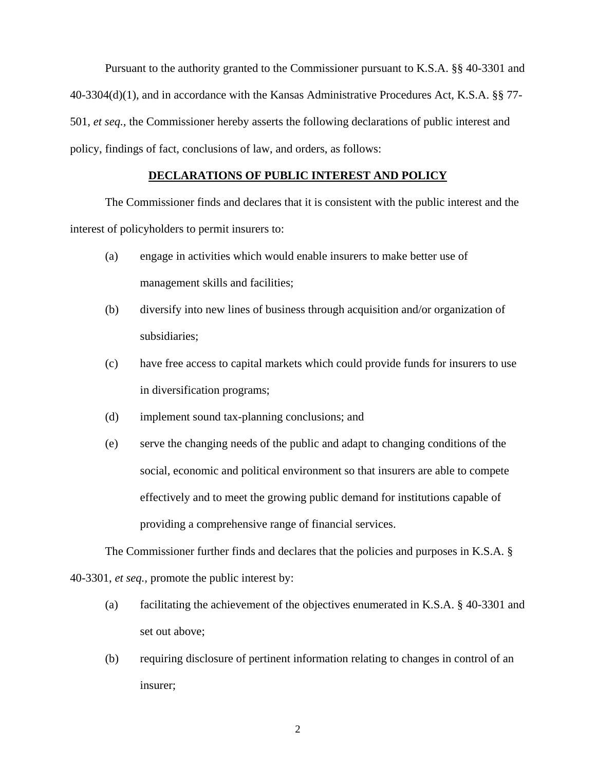Pursuant to the authority granted to the Commissioner pursuant to K.S.A. §§ 40-3301 and 40-3304(d)(1), and in accordance with the Kansas Administrative Procedures Act, K.S.A. §§ 77- 501, *et seq.,* the Commissioner hereby asserts the following declarations of public interest and policy, findings of fact, conclusions of law, and orders, as follows:

## **DECLARATIONS OF PUBLIC INTEREST AND POLICY**

 The Commissioner finds and declares that it is consistent with the public interest and the interest of policyholders to permit insurers to:

- (a) engage in activities which would enable insurers to make better use of management skills and facilities;
- (b) diversify into new lines of business through acquisition and/or organization of subsidiaries;
- (c) have free access to capital markets which could provide funds for insurers to use in diversification programs;
- (d) implement sound tax-planning conclusions; and
- (e) serve the changing needs of the public and adapt to changing conditions of the social, economic and political environment so that insurers are able to compete effectively and to meet the growing public demand for institutions capable of providing a comprehensive range of financial services.

The Commissioner further finds and declares that the policies and purposes in K.S.A. § 40-3301, *et seq.,* promote the public interest by:

- (a) facilitating the achievement of the objectives enumerated in K.S.A. § 40-3301 and set out above;
- (b) requiring disclosure of pertinent information relating to changes in control of an insurer;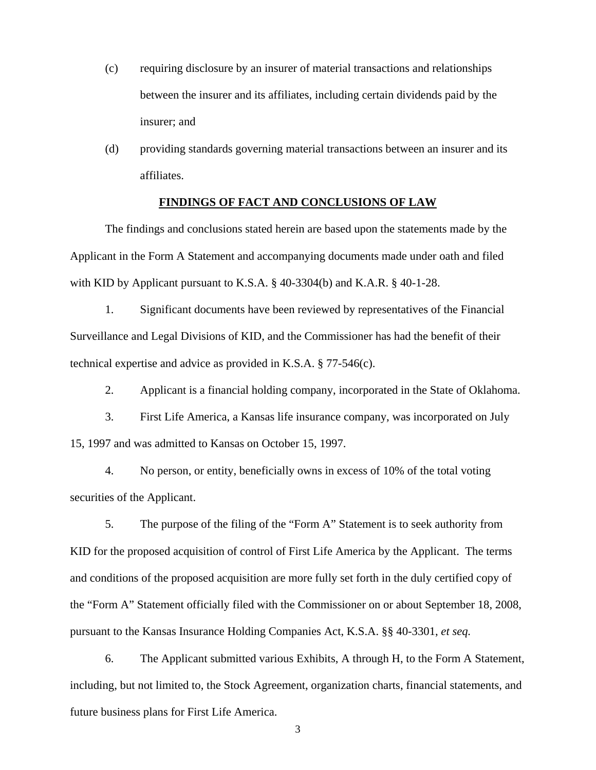- (c) requiring disclosure by an insurer of material transactions and relationships between the insurer and its affiliates, including certain dividends paid by the insurer; and
- (d) providing standards governing material transactions between an insurer and its affiliates.

### **FINDINGS OF FACT AND CONCLUSIONS OF LAW**

The findings and conclusions stated herein are based upon the statements made by the Applicant in the Form A Statement and accompanying documents made under oath and filed with KID by Applicant pursuant to K.S.A. § 40-3304(b) and K.A.R. § 40-1-28.

1. Significant documents have been reviewed by representatives of the Financial Surveillance and Legal Divisions of KID, and the Commissioner has had the benefit of their technical expertise and advice as provided in K.S.A. § 77-546(c).

2. Applicant is a financial holding company, incorporated in the State of Oklahoma.

3. First Life America, a Kansas life insurance company, was incorporated on July 15, 1997 and was admitted to Kansas on October 15, 1997.

4. No person, or entity, beneficially owns in excess of 10% of the total voting securities of the Applicant.

 5. The purpose of the filing of the "Form A" Statement is to seek authority from KID for the proposed acquisition of control of First Life America by the Applicant. The terms and conditions of the proposed acquisition are more fully set forth in the duly certified copy of the "Form A" Statement officially filed with the Commissioner on or about September 18, 2008, pursuant to the Kansas Insurance Holding Companies Act, K.S.A. §§ 40-3301, *et seq.*

 6. The Applicant submitted various Exhibits, A through H, to the Form A Statement, including, but not limited to, the Stock Agreement, organization charts, financial statements, and future business plans for First Life America.

3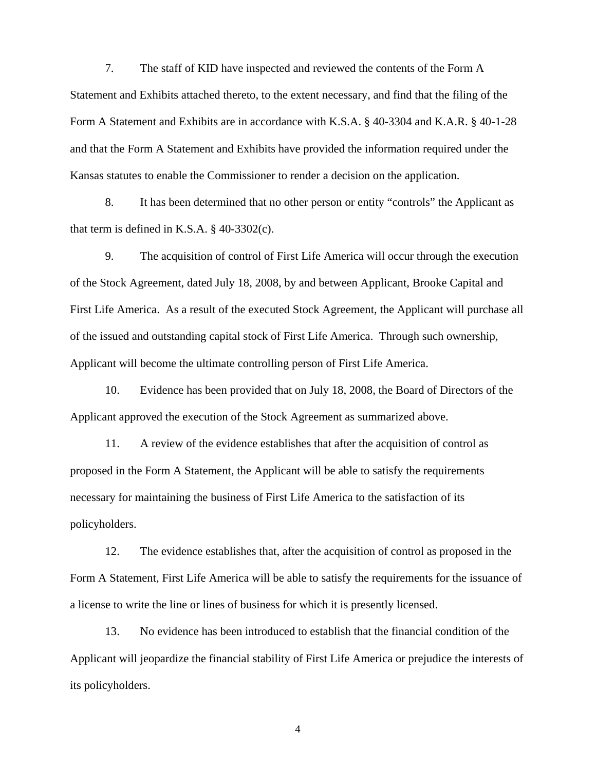7. The staff of KID have inspected and reviewed the contents of the Form A Statement and Exhibits attached thereto, to the extent necessary, and find that the filing of the Form A Statement and Exhibits are in accordance with K.S.A. § 40-3304 and K.A.R. § 40-1-28 and that the Form A Statement and Exhibits have provided the information required under the Kansas statutes to enable the Commissioner to render a decision on the application.

 8. It has been determined that no other person or entity "controls" the Applicant as that term is defined in K.S.A.  $\S$  40-3302(c).

9. The acquisition of control of First Life America will occur through the execution of the Stock Agreement, dated July 18, 2008, by and between Applicant, Brooke Capital and First Life America. As a result of the executed Stock Agreement, the Applicant will purchase all of the issued and outstanding capital stock of First Life America. Through such ownership, Applicant will become the ultimate controlling person of First Life America.

10. Evidence has been provided that on July 18, 2008, the Board of Directors of the Applicant approved the execution of the Stock Agreement as summarized above.

11. A review of the evidence establishes that after the acquisition of control as proposed in the Form A Statement, the Applicant will be able to satisfy the requirements necessary for maintaining the business of First Life America to the satisfaction of its policyholders.

12. The evidence establishes that, after the acquisition of control as proposed in the Form A Statement, First Life America will be able to satisfy the requirements for the issuance of a license to write the line or lines of business for which it is presently licensed.

13. No evidence has been introduced to establish that the financial condition of the Applicant will jeopardize the financial stability of First Life America or prejudice the interests of its policyholders.

4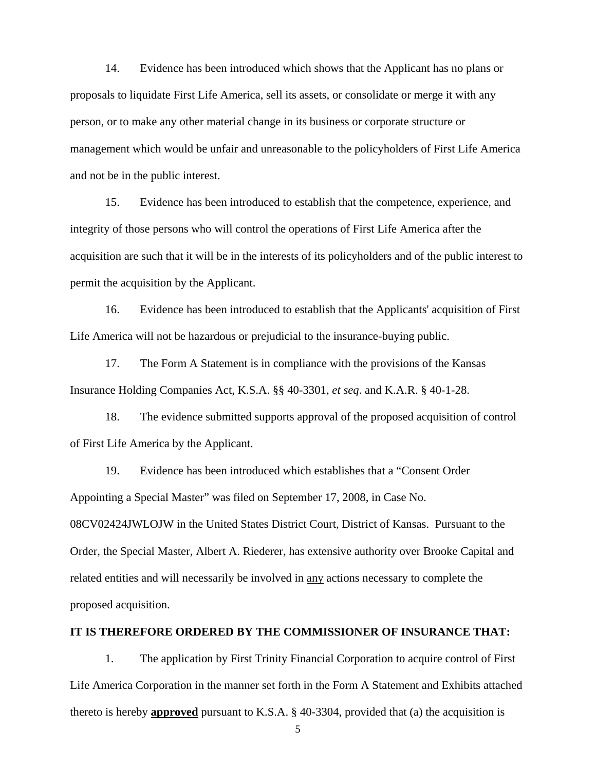14. Evidence has been introduced which shows that the Applicant has no plans or proposals to liquidate First Life America, sell its assets, or consolidate or merge it with any person, or to make any other material change in its business or corporate structure or management which would be unfair and unreasonable to the policyholders of First Life America and not be in the public interest.

15. Evidence has been introduced to establish that the competence, experience, and integrity of those persons who will control the operations of First Life America after the acquisition are such that it will be in the interests of its policyholders and of the public interest to permit the acquisition by the Applicant.

16. Evidence has been introduced to establish that the Applicants' acquisition of First Life America will not be hazardous or prejudicial to the insurance-buying public.

17. The Form A Statement is in compliance with the provisions of the Kansas Insurance Holding Companies Act, K.S.A. §§ 40-3301, *et seq*. and K.A.R. § 40-1-28.

18. The evidence submitted supports approval of the proposed acquisition of control of First Life America by the Applicant.

 19. Evidence has been introduced which establishes that a "Consent Order Appointing a Special Master" was filed on September 17, 2008, in Case No. 08CV02424JWLOJW in the United States District Court, District of Kansas. Pursuant to the Order, the Special Master, Albert A. Riederer, has extensive authority over Brooke Capital and related entities and will necessarily be involved in any actions necessary to complete the proposed acquisition.

# **IT IS THEREFORE ORDERED BY THE COMMISSIONER OF INSURANCE THAT:**

 1. The application by First Trinity Financial Corporation to acquire control of First Life America Corporation in the manner set forth in the Form A Statement and Exhibits attached thereto is hereby **approved** pursuant to K.S.A. § 40-3304, provided that (a) the acquisition is

5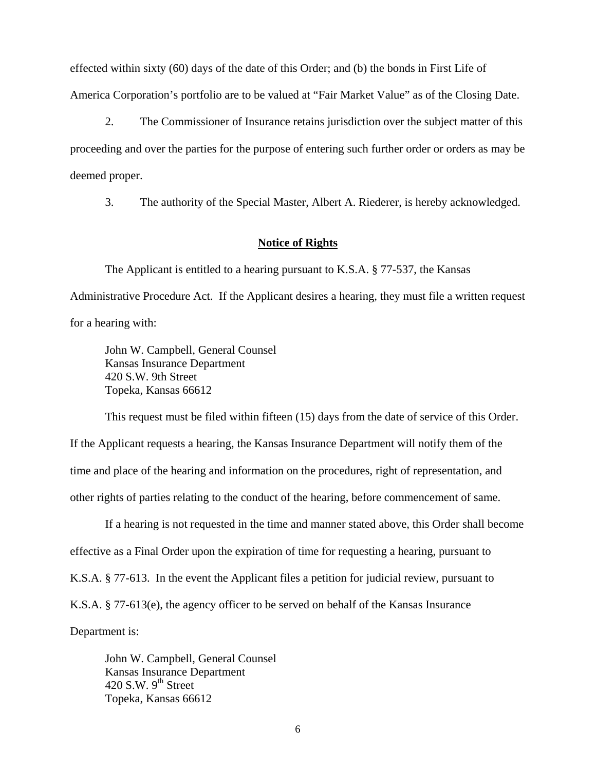effected within sixty (60) days of the date of this Order; and (b) the bonds in First Life of America Corporation's portfolio are to be valued at "Fair Market Value" as of the Closing Date.

 2. The Commissioner of Insurance retains jurisdiction over the subject matter of this proceeding and over the parties for the purpose of entering such further order or orders as may be deemed proper.

3. The authority of the Special Master, Albert A. Riederer, is hereby acknowledged.

## **Notice of Rights**

 The Applicant is entitled to a hearing pursuant to K.S.A. § 77-537, the Kansas Administrative Procedure Act. If the Applicant desires a hearing, they must file a written request for a hearing with:

John W. Campbell, General Counsel Kansas Insurance Department 420 S.W. 9th Street Topeka, Kansas 66612

 This request must be filed within fifteen (15) days from the date of service of this Order. If the Applicant requests a hearing, the Kansas Insurance Department will notify them of the time and place of the hearing and information on the procedures, right of representation, and other rights of parties relating to the conduct of the hearing, before commencement of same.

 If a hearing is not requested in the time and manner stated above, this Order shall become effective as a Final Order upon the expiration of time for requesting a hearing, pursuant to K.S.A. § 77-613. In the event the Applicant files a petition for judicial review, pursuant to K.S.A. § 77-613(e), the agency officer to be served on behalf of the Kansas Insurance Department is:

 John W. Campbell, General Counsel Kansas Insurance Department 420 S.W.  $9<sup>th</sup>$  Street Topeka, Kansas 66612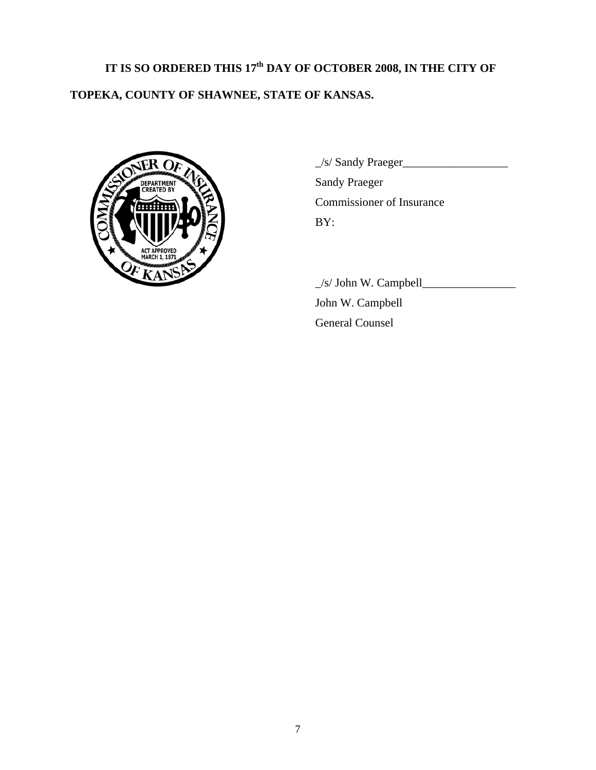# **IT IS SO ORDERED THIS 17th DAY OF OCTOBER 2008, IN THE CITY OF TOPEKA, COUNTY OF SHAWNEE, STATE OF KANSAS.**



 $\angle$ s/ Sandy Praeger $\angle$ Sandy Praeger Commissioner of Insurance BY:

 $\angle$ s/ John W. Campbell $\angle$  John W. Campbell General Counsel